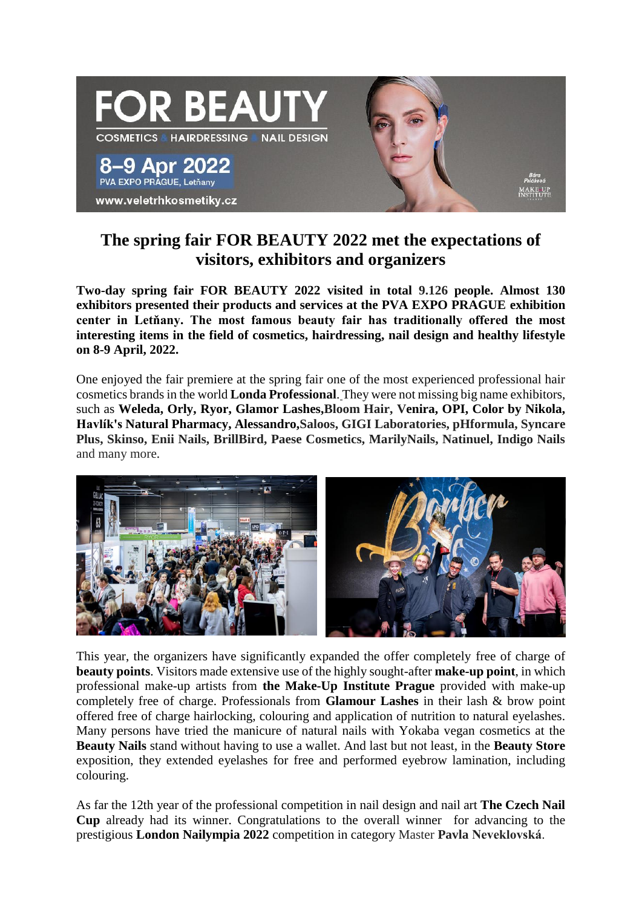

## **The spring fair FOR BEAUTY 2022 met the expectations of visitors, exhibitors and organizers**

**Two-day spring fair FOR BEAUTY 2022 visited in total 9.126 people. Almost 130 exhibitors presented their products and services at the PVA EXPO PRAGUE exhibition center in Letňany. The most famous beauty fair has traditionally offered the most interesting items in the field of cosmetics, hairdressing, nail design and healthy lifestyle on 8-9 April, 2022.**

One enjoyed the fair premiere at the spring fair one of the most experienced professional hair cosmetics brands in the world **[Londa Professional](https://www.facebook.com/londaczsk/?__cft__%5b0%5d=AZX6lt2IEGjMmHbyrZRE_dZgPfsdG-vZDSTw3Sok2vbGbswWTPxfRpMHpa-DCWzcsg3_iOyRXMLoXA_RqWIem307oSKPnNOq28NK1QHWwYu4dBmGjDiN5OKd6fSpoWPaeME663pTJh3kT1Hj_8rOv6k2QhRim-zQNxR9p9sGYBZ1BBL-JLe3OyFL3ZORhZ29vco&__tn__=kK-R)**. They were not missing big name exhibitors, such as **Weleda, Orly, Ryor, Glamor Lashes,Bloom Hair, Venira, OPI, Color by Nikola, Havlík's Natural Pharmacy, Alessandro,Saloos, GIGI Laboratories, pHformula, Syncare Plus, Skinso, Enii Nails, BrillBird, Paese Cosmetics, MarilyNails, Natinuel, Indigo Nails** and many more.



This year, the organizers have significantly expanded the offer completely free of charge of **beauty points**. Visitors made extensive use of the highly sought-after **make-up point**, in which professional make-up artists from **the Make-Up Institute Prague** provided with make-up completely free of charge. Professionals from **Glamour Lashes** in their lash & brow point offered free of charge hairlocking, colouring and application of nutrition to natural eyelashes. Many persons have tried the manicure of natural nails with Yokaba vegan cosmetics at the **Beauty Nails** stand without having to use a wallet. And last but not least, in the **Beauty Store** exposition, they extended eyelashes for free and performed eyebrow lamination, including colouring.

As far the 12th year of the professional competition in nail design and nail art **The Czech Nail Cup** already had its winner. Congratulations to the overall winner for advancing to the prestigious **London Nailympia 2022** competition in category Master **Pavla Neveklovská**.